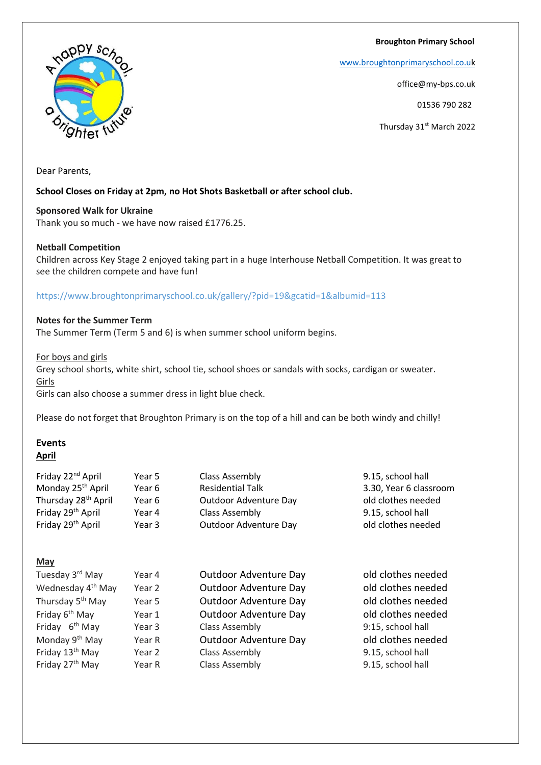**Broughton Primary School**

[www.broughtonprimaryschool.co.u](http://www.broughtonprimaryschool.co.u/)[k](http://www.broughtonprimaryschool.co.uk/)

office@my-bps.co.uk

01536 790 282

Thursday 31<sup>st</sup> March 2022

Dear Parents,

## **School Closes on Friday at 2pm, no Hot Shots Basketball or after school club.**

**Sponsored Walk for Ukraine**

Thank you so much - we have now raised £1776.25.

## **Netball Competition**

Children across Key Stage 2 enjoyed taking part in a huge Interhouse Netball Competition. It was great to see the children compete and have fun!

# https://www.broughtonprimaryschool.co.uk/gallery/?pid=19&gcatid=1&albumid=113

# **Notes for the Summer Term**

The Summer Term (Term 5 and 6) is when summer school uniform begins.

For boys and girls

Grey school shorts, white shirt, school tie, school shoes or sandals with socks, cardigan or sweater. Girls

Girls can also choose a summer dress in light blue check.

Please do not forget that Broughton Primary is on the top of a hill and can be both windy and chilly!

#### **Events April**

| Friday 22 <sup>nd</sup> April   | Year 5 | Class Assembly          | 9.15, school hall      |
|---------------------------------|--------|-------------------------|------------------------|
| Monday 25 <sup>th</sup> April   | Year 6 | <b>Residential Talk</b> | 3.30, Year 6 classroom |
| Thursday 28 <sup>th</sup> April | Year 6 | Outdoor Adventure Day   | old clothes needed     |
| Friday 29 <sup>th</sup> April   | Year 4 | Class Assembly          | 9.15, school hall      |
| Friday 29 <sup>th</sup> April   | Year 3 | Outdoor Adventure Day   | old clothes needed     |
|                                 |        |                         |                        |

**May**

| Tuesday 3 <sup>rd</sup> May   | Year 4 | Outdoor Adventure Day | old clothes needed |
|-------------------------------|--------|-----------------------|--------------------|
| Wednesday 4 <sup>th</sup> May | Year 2 | Outdoor Adventure Day | old clothes needed |
| Thursday 5 <sup>th</sup> May  | Year 5 | Outdoor Adventure Day | old clothes needed |
| Friday 6 <sup>th</sup> May    | Year 1 | Outdoor Adventure Day | old clothes needed |
| Friday 6 <sup>th</sup> May    | Year 3 | Class Assembly        | 9:15, school hall  |
| Monday 9 <sup>th</sup> May    | Year R | Outdoor Adventure Day | old clothes needed |
| Friday 13 <sup>th</sup> May   | Year 2 | Class Assembly        | 9.15, school hall  |
| Friday 27 <sup>th</sup> May   | Year R | <b>Class Assembly</b> | 9.15, school hall  |
|                               |        |                       |                    |